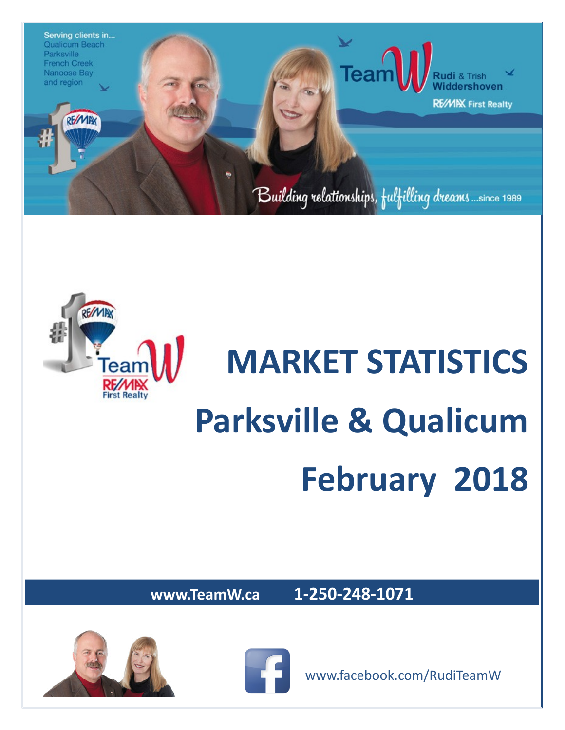



## **MARKET STATISTICS Parksville & Qualicum February 2018**

**www.TeamW.ca 1-250-248-1071** 





www.facebook.com/RudiTeamW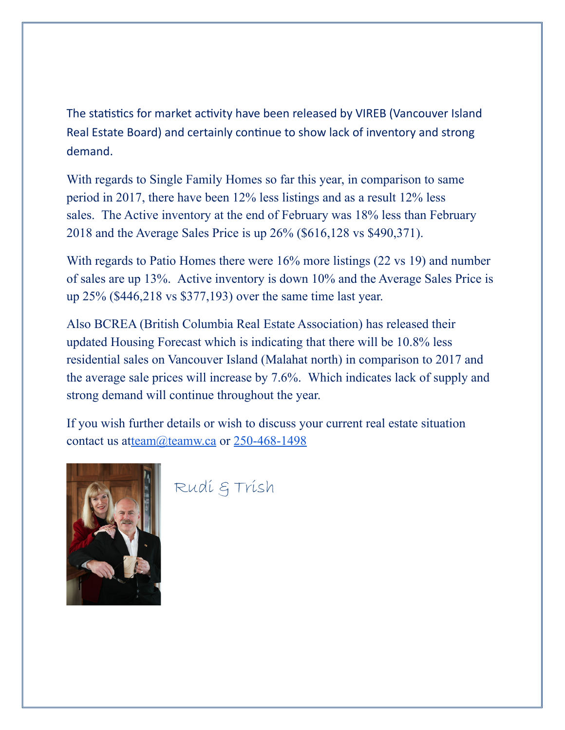The statistics for market activity have been released by VIREB (Vancouver Island Real Estate Board) and certainly continue to show lack of inventory and strong demand.

With regards to Single Family Homes so far this year, in comparison to same period in 2017, there have been 12% less listings and as a result 12% less sales. The Active inventory at the end of February was 18% less than February 2018 and the Average Sales Price is up 26% (\$616,128 vs \$490,371).

With regards to Patio Homes there were 16% more listings (22 vs 19) and number of sales are up 13%. Active inventory is down 10% and the Average Sales Price is up 25% (\$446,218 vs \$377,193) over the same time last year.

Also BCREA (British Columbia Real Estate Association) has released their updated Housing Forecast which is indicating that there will be 10.8% less residential sales on Vancouver Island (Malahat north) in comparison to 2017 and the average sale prices will increase by 7.6%. Which indicates lack of supply and strong demand will continue throughout the year.

If you wish further details or wish to discuss your current real estate situation contact us a[tteam@teamw.ca](mailto:team@teamw.ca) or [250-468-1498](tel:(250)%20468-1498)



Rudi & Trish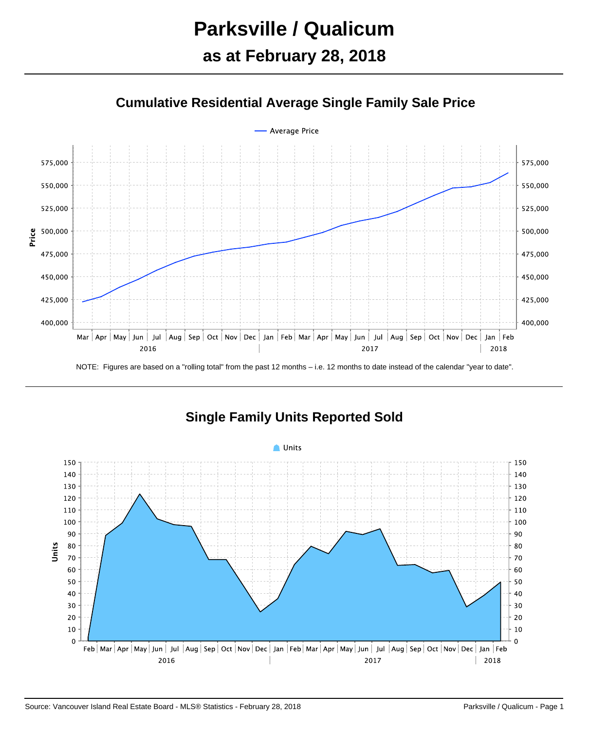## **Parksville / Qualicum as at February 28, 2018**





**Single Family Units Reported Sold**

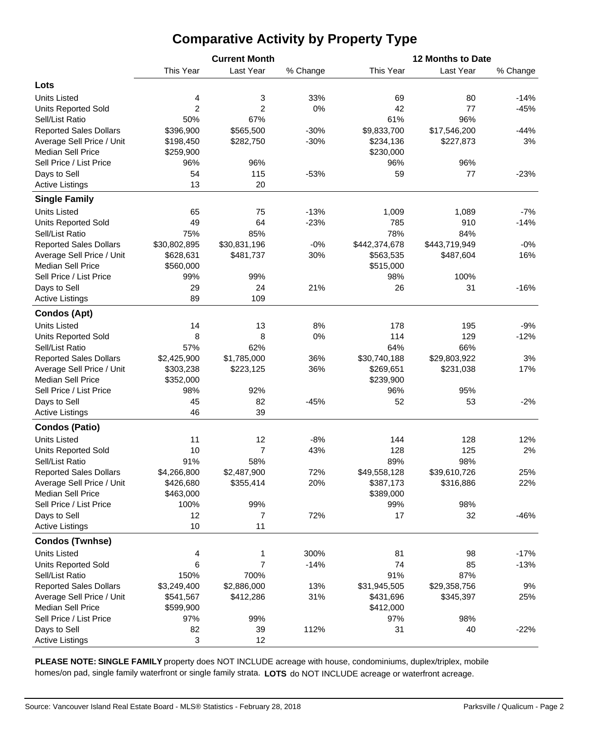## **Comparative Activity by Property Type**

|                               |                | <b>Current Month</b> |          | 12 Months to Date |               |          |  |  |  |  |
|-------------------------------|----------------|----------------------|----------|-------------------|---------------|----------|--|--|--|--|
|                               | This Year      | Last Year            | % Change | This Year         | Last Year     | % Change |  |  |  |  |
| Lots                          |                |                      |          |                   |               |          |  |  |  |  |
| <b>Units Listed</b>           | 4              | 3                    | 33%      | 69                | 80            | $-14%$   |  |  |  |  |
| <b>Units Reported Sold</b>    | $\overline{2}$ | $\overline{2}$       | 0%       | 42                | 77            | $-45%$   |  |  |  |  |
| Sell/List Ratio               | 50%            | 67%                  |          | 61%               | 96%           |          |  |  |  |  |
| <b>Reported Sales Dollars</b> | \$396,900      | \$565,500            | $-30%$   | \$9,833,700       | \$17,546,200  | $-44%$   |  |  |  |  |
| Average Sell Price / Unit     | \$198,450      | \$282,750            | $-30%$   | \$234,136         | \$227,873     | 3%       |  |  |  |  |
| <b>Median Sell Price</b>      | \$259,900      |                      |          | \$230,000         |               |          |  |  |  |  |
| Sell Price / List Price       | 96%            | 96%                  |          | 96%               | 96%           |          |  |  |  |  |
| Days to Sell                  | 54             | 115                  | $-53%$   | 59                | 77            | $-23%$   |  |  |  |  |
| <b>Active Listings</b>        | 13             | 20                   |          |                   |               |          |  |  |  |  |
| <b>Single Family</b>          |                |                      |          |                   |               |          |  |  |  |  |
|                               |                |                      |          |                   |               |          |  |  |  |  |
| <b>Units Listed</b>           | 65             | 75                   | $-13%$   | 1,009             | 1,089         | $-7%$    |  |  |  |  |
| <b>Units Reported Sold</b>    | 49             | 64                   | $-23%$   | 785               | 910           | $-14%$   |  |  |  |  |
| Sell/List Ratio               | 75%            | 85%                  |          | 78%               | 84%           |          |  |  |  |  |
| <b>Reported Sales Dollars</b> | \$30,802,895   | \$30,831,196         | $-0%$    | \$442,374,678     | \$443,719,949 | $-0%$    |  |  |  |  |
| Average Sell Price / Unit     | \$628,631      | \$481,737            | 30%      | \$563,535         | \$487,604     | 16%      |  |  |  |  |
| <b>Median Sell Price</b>      | \$560,000      |                      |          | \$515,000         |               |          |  |  |  |  |
| Sell Price / List Price       | 99%            | 99%                  |          | 98%               | 100%          |          |  |  |  |  |
| Days to Sell                  | 29             | 24                   | 21%      | 26                | 31            | $-16%$   |  |  |  |  |
| <b>Active Listings</b>        | 89             | 109                  |          |                   |               |          |  |  |  |  |
| <b>Condos (Apt)</b>           |                |                      |          |                   |               |          |  |  |  |  |
| <b>Units Listed</b>           | 14             | 13                   | 8%       | 178               | 195           | $-9%$    |  |  |  |  |
| <b>Units Reported Sold</b>    | 8              | 8                    | 0%       | 114               | 129           | $-12%$   |  |  |  |  |
| Sell/List Ratio               | 57%            | 62%                  |          | 64%               | 66%           |          |  |  |  |  |
| <b>Reported Sales Dollars</b> | \$2,425,900    | \$1,785,000          | 36%      | \$30,740,188      | \$29,803,922  | 3%       |  |  |  |  |
| Average Sell Price / Unit     | \$303,238      | \$223,125            | 36%      | \$269,651         | \$231,038     | 17%      |  |  |  |  |
| <b>Median Sell Price</b>      | \$352,000      |                      |          | \$239,900         |               |          |  |  |  |  |
| Sell Price / List Price       | 98%            | 92%                  |          | 96%               | 95%           |          |  |  |  |  |
| Days to Sell                  | 45             | 82                   | $-45%$   | 52                | 53            | $-2%$    |  |  |  |  |
| <b>Active Listings</b>        | 46             | 39                   |          |                   |               |          |  |  |  |  |
| <b>Condos (Patio)</b>         |                |                      |          |                   |               |          |  |  |  |  |
| <b>Units Listed</b>           | 11             | 12                   | $-8%$    | 144               | 128           | 12%      |  |  |  |  |
| <b>Units Reported Sold</b>    | 10             | 7                    | 43%      | 128               | 125           | 2%       |  |  |  |  |
| Sell/List Ratio               | 91%            | 58%                  |          | 89%               | 98%           |          |  |  |  |  |
| <b>Reported Sales Dollars</b> | \$4,266,800    | \$2,487,900          | 72%      | \$49,558,128      | \$39,610,726  | 25%      |  |  |  |  |
| Average Sell Price / Unit     | \$426,680      | \$355,414            | 20%      | \$387,173         | \$316,886     | 22%      |  |  |  |  |
| <b>Median Sell Price</b>      | \$463,000      |                      |          | \$389,000         |               |          |  |  |  |  |
| Sell Price / List Price       | 100%           | 99%                  |          | 99%               | 98%           |          |  |  |  |  |
| Days to Sell                  | 12             | 7                    | 72%      | 17                | 32            | $-46%$   |  |  |  |  |
| <b>Active Listings</b>        | 10             | 11                   |          |                   |               |          |  |  |  |  |
| <b>Condos (Twnhse)</b>        |                |                      |          |                   |               |          |  |  |  |  |
| <b>Units Listed</b>           | 4              | 1                    | 300%     | 81                | 98            | $-17%$   |  |  |  |  |
| <b>Units Reported Sold</b>    | 6              | $\overline{7}$       | $-14%$   | 74                | 85            | $-13%$   |  |  |  |  |
| Sell/List Ratio               | 150%           | 700%                 |          | 91%               | 87%           |          |  |  |  |  |
| <b>Reported Sales Dollars</b> | \$3,249,400    | \$2,886,000          | 13%      | \$31,945,505      | \$29,358,756  | 9%       |  |  |  |  |
| Average Sell Price / Unit     | \$541,567      | \$412,286            | 31%      | \$431,696         | \$345,397     | 25%      |  |  |  |  |
| <b>Median Sell Price</b>      | \$599,900      |                      |          | \$412,000         |               |          |  |  |  |  |
| Sell Price / List Price       | 97%            | 99%                  |          | 97%               | 98%           |          |  |  |  |  |
| Days to Sell                  | 82             | 39                   | 112%     | 31                | 40            | $-22%$   |  |  |  |  |
| <b>Active Listings</b>        | 3              | 12                   |          |                   |               |          |  |  |  |  |

**PLEASE NOTE: SINGLE FAMILY** property does NOT INCLUDE acreage with house, condominiums, duplex/triplex, mobile homes/on pad, single family waterfront or single family strata. **LOTS** do NOT INCLUDE acreage or waterfront acreage.